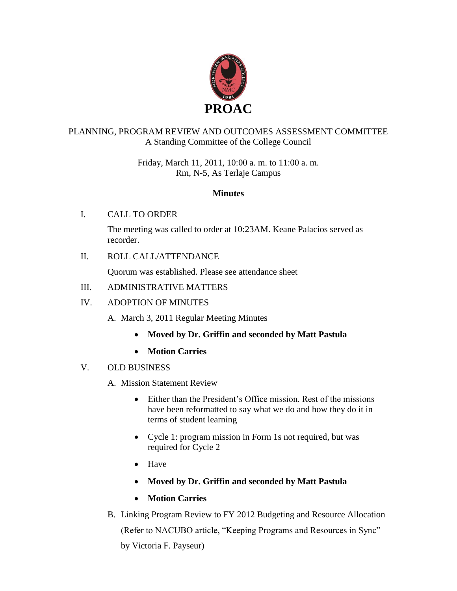

# PLANNING, PROGRAM REVIEW AND OUTCOMES ASSESSMENT COMMITTEE A Standing Committee of the College Council

Friday, March 11, 2011, 10:00 a. m. to 11:00 a. m. Rm, N-5, As Terlaje Campus

## **Minutes**

I. CALL TO ORDER

The meeting was called to order at 10:23AM. Keane Palacios served as recorder.

II. ROLL CALL/ATTENDANCE

Quorum was established. Please see attendance sheet

# III. ADMINISTRATIVE MATTERS

## IV. ADOPTION OF MINUTES

A. March 3, 2011 Regular Meeting Minutes

- **Moved by Dr. Griffin and seconded by Matt Pastula**
- **Motion Carries**

## V. OLD BUSINESS

A. Mission Statement Review

- Either than the President's Office mission. Rest of the missions have been reformatted to say what we do and how they do it in terms of student learning
- Cycle 1: program mission in Form 1s not required, but was required for Cycle 2
- Have
- **Moved by Dr. Griffin and seconded by Matt Pastula**
- **Motion Carries**
- B. Linking Program Review to FY 2012 Budgeting and Resource Allocation (Refer to NACUBO article, "Keeping Programs and Resources in Sync" by Victoria F. Payseur)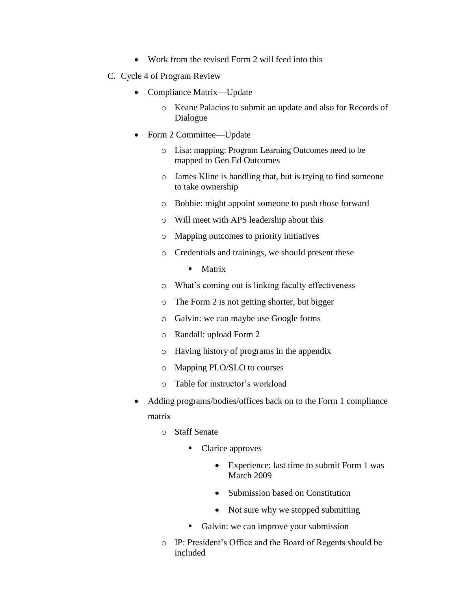- Work from the revised Form 2 will feed into this
- C. Cycle 4 of Program Review
	- Compliance Matrix—Update
		- o Keane Palacios to submit an update and also for Records of Dialogue
	- Form 2 Committee—Update
		- o Lisa: mapping: Program Learning Outcomes need to be mapped to Gen Ed Outcomes
		- o James Kline is handling that, but is trying to find someone to take ownership
		- o Bobbie: might appoint someone to push those forward
		- o Will meet with APS leadership about this
		- o Mapping outcomes to priority initiatives
		- o Credentials and trainings, we should present these
			- **Matrix**
		- o What's coming out is linking faculty effectiveness
		- o The Form 2 is not getting shorter, but bigger
		- o Galvin: we can maybe use Google forms
		- o Randall: upload Form 2
		- o Having history of programs in the appendix
		- o Mapping PLO/SLO to courses
		- o Table for instructor's workload
	- Adding programs/bodies/offices back on to the Form 1 compliance matrix
		- o Staff Senate
			- Clarice approves
				- Experience: last time to submit Form 1 was March 2009
				- Submission based on Constitution
				- Not sure why we stopped submitting
			- Galvin: we can improve your submission
		- o IP: President's Office and the Board of Regents should be included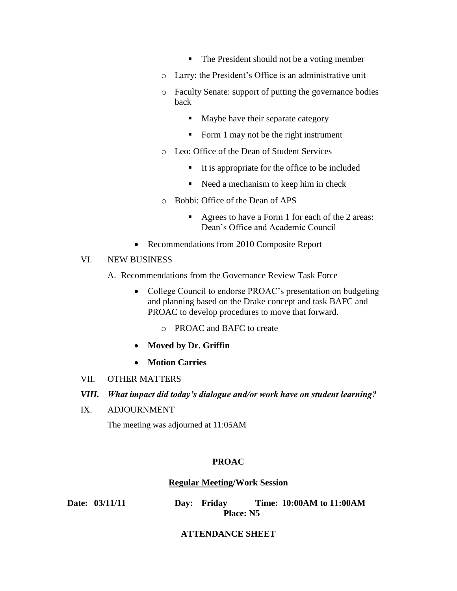- The President should not be a voting member
- o Larry: the President's Office is an administrative unit
- o Faculty Senate: support of putting the governance bodies back
	- Maybe have their separate category
	- Form 1 may not be the right instrument
- o Leo: Office of the Dean of Student Services
	- It is appropriate for the office to be included
	- Need a mechanism to keep him in check
- o Bobbi: Office of the Dean of APS
	- Agrees to have a Form 1 for each of the 2 areas: Dean's Office and Academic Council
- Recommendations from 2010 Composite Report

#### VI. NEW BUSINESS

- A. Recommendations from the Governance Review Task Force
	- College Council to endorse PROAC's presentation on budgeting and planning based on the Drake concept and task BAFC and PROAC to develop procedures to move that forward.
		- o PROAC and BAFC to create
	- **Moved by Dr. Griffin**
	- **Motion Carries**
- VII. OTHER MATTERS
- *VIII. What impact did today's dialogue and/or work have on student learning?*
- IX. ADJOURNMENT

The meeting was adjourned at 11:05AM

#### **PROAC**

#### **Regular Meeting/Work Session**

| Date: | 03/11/11 |
|-------|----------|
|-------|----------|

**Date: 03/11/11 Day: Friday Time: 10:00AM to 11:00AM Place: N5**

### **ATTENDANCE SHEET**